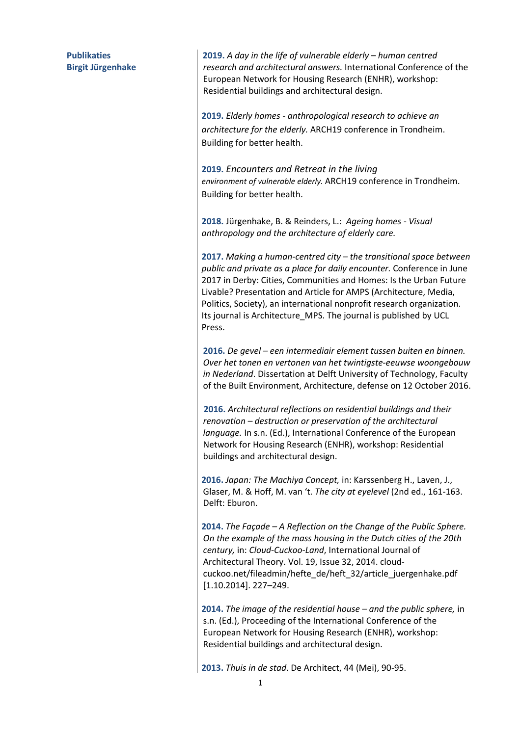**Publikaties Birgit Jürgenhake**  **2019.** *A day in the life of vulnerable elderly – human centred research and architectural answers.* International Conference of the European Network for Housing Research (ENHR), workshop: Residential buildings and architectural design.

**2019.** *Elderly homes - anthropological research to achieve an architecture for the elderly.* ARCH19 conference in Trondheim. Building for better health.

**2019.** *Encounters and Retreat in the living environment of vulnerable elderly.* ARCH19 conference in Trondheim. Building for better health.

**2018.** Jürgenhake, B. & Reinders, L.: *Ageing homes - Visual anthropology and the architecture of elderly care.* 

**2017.** *Making a human-centred city – the transitional space between public and private as a place for daily encounter.* Conference in June 2017 in Derby: Cities, Communities and Homes: Is the Urban Future Livable? Presentation and Article for AMPS (Architecture, Media, Politics, Society), an international nonprofit research organization. Its journal is Architecture\_MPS. The journal is published by UCL Press.

**2016.** *De gevel – een intermediair element tussen buiten en binnen. Over het tonen en vertonen van het twintigste-eeuwse woongebouw in Nederland*. Dissertation at Delft University of Technology, Faculty of the Built Environment, Architecture, defense on 12 October 2016.

 **2016.** *Architectural reflections on residential buildings and their renovation – destruction or preservation of the architectural language.* In s.n. (Ed.), International Conference of the European Network for Housing Research (ENHR), workshop: Residential buildings and architectural design.

 **2016.** *Japan: The Machiya Concept,* in: Karssenberg H., Laven, J., Glaser, M. & Hoff, M. van 't. *The city at eyelevel* (2nd ed., 161-163. Delft: Eburon.

 **2014.** *The Façade – A Reflection on the Change of the Public Sphere. On the example of the mass housing in the Dutch cities of the 20th century,* in: *Cloud-Cuckoo-Land*, International Journal of Architectural Theory. Vol. 19, Issue 32, 2014. cloudcuckoo.net/fileadmin/hefte\_de/heft\_32/article\_juergenhake.pdf [1.10.2014]. 227–249.

 **2014.** *The image of the residential house – and the public sphere,* in s.n. (Ed.), Proceeding of the International Conference of the European Network for Housing Research (ENHR), workshop: Residential buildings and architectural design.

**2013.** *Thuis in de stad*. De Architect, 44 (Mei), 90-95.